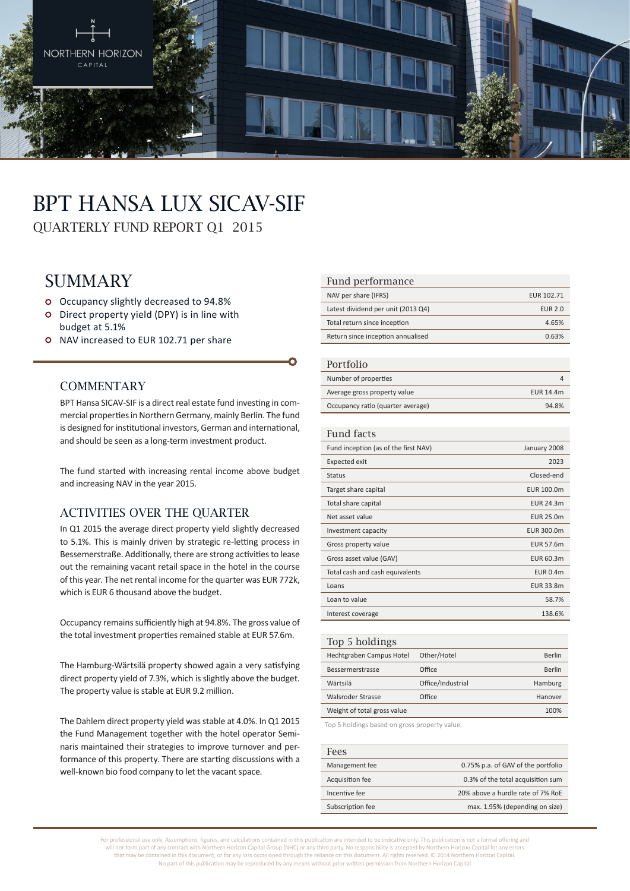

# BPT Hansa Lux SICAV-SIF

QUARTERLY FUND REPORT Q1 2015

# **SUMMARY**

- Occupancy slightly decreased to 94.8%
- Direct property yield (DPY) is in line with budget at 5.1%
- o NAV increased to EUR 102.71 per share

#### **COMMENTARY**

BPT Hansa SICAV-SIF is a direct real estate fund investing in commercial properties in Northern Germany, mainly Berlin. The fund is designed for institutional investors, German and international, and should be seen as a long-term investment product.

The fund started with increasing rental income above budget and increasing NAV in the year 2015.

#### Activities over the quarter

In Q1 2015 the average direct property yield slightly decreased to 5.1%. This is mainly driven by strategic re-letting process in Bessemerstraße. Additionally, there are strong activities to lease out the remaining vacant retail space in the hotel in the course of this year. The net rental income for the quarter was EUR 772k, which is EUR 6 thousand above the budget.

Occupancy remains sufficiently high at 94.8%. The gross value of the total investment properties remained stable at EUR 57.6m.

The Hamburg-Wärtsilä property showed again a very satisfying direct property yield of 7.3%, which is slightly above the budget. The property value is stable at EUR 9.2 million.

The Dahlem direct property yield was stable at 4.0%. In Q1 2015 the Fund Management together with the hotel operator Seminaris maintained their strategies to improve turnover and performance of this property. There are starting discussions with a well-known bio food company to let the vacant space.

#### Fund performance

| NAV per share (IFRS)               | EUR 102.71     |
|------------------------------------|----------------|
| Latest dividend per unit (2013 Q4) | <b>EUR 2.0</b> |
| Total return since inception       | 4.65%          |
| Return since inception annualised  | 0.63%          |

#### Portfolio

| T OT LIDITU                       |           |
|-----------------------------------|-----------|
| Number of properties              |           |
| Average gross property value      | EUR 14.4m |
| Occupancy ratio (quarter average) | 94.8%     |

#### Fund facts

| Fund inception (as of the first NAV) | January 2008     |
|--------------------------------------|------------------|
| <b>Expected exit</b>                 | 2023             |
| <b>Status</b>                        | Closed-end       |
| Target share capital                 | EUR 100.0m       |
| Total share capital                  | EUR 24.3m        |
| Net asset value                      | <b>EUR 25.0m</b> |
| Investment capacity                  | EUR 300.0m       |
| Gross property value                 | <b>EUR 57.6m</b> |
| Gross asset value (GAV)              | EUR 60.3m        |
| Total cash and cash equivalents      | <b>EUR 0.4m</b>  |
| Loans                                | EUR 33.8m        |
| Loan to value                        | 58.7%            |
| Interest coverage                    | 138.6%           |
|                                      |                  |

| Top 5 holdings              |                   |         |
|-----------------------------|-------------------|---------|
| Hechtgraben Campus Hotel    | Other/Hotel       | Berlin  |
| Bessermerstrasse            | Office            | Berlin  |
| Wärtsilä                    | Office/Industrial | Hamburg |
| Walsroder Strasse           | Office            | Hanover |
| Weight of total gross value |                   | 100%    |
|                             |                   |         |

Top 5 holdings based on gross property value.

| Fees             |                                    |
|------------------|------------------------------------|
| Management fee   | 0.75% p.a. of GAV of the portfolio |
| Acquisition fee  | 0.3% of the total acquisition sum  |
| Incentive fee    | 20% above a hurdle rate of 7% RoE  |
| Subscription fee | max. 1.95% (depending on size)     |

For professional use only. Assumptions, figures, and calculations contained in this publication are intended to be indicative only. This publication is not a formal offering and will not form part of any contract with Northern Horizon Capital Group (NHC) or any third party. No responsibility is accepted by Northern Horizon Capital for any errors that may be contained in this document, or for any loss occasioned through the reliance on this document. All rights reserved. © 2014 Northern Horizon Capital. No part of this publication may be reproduced by any means without prior written permission from Northern Horizon Capital